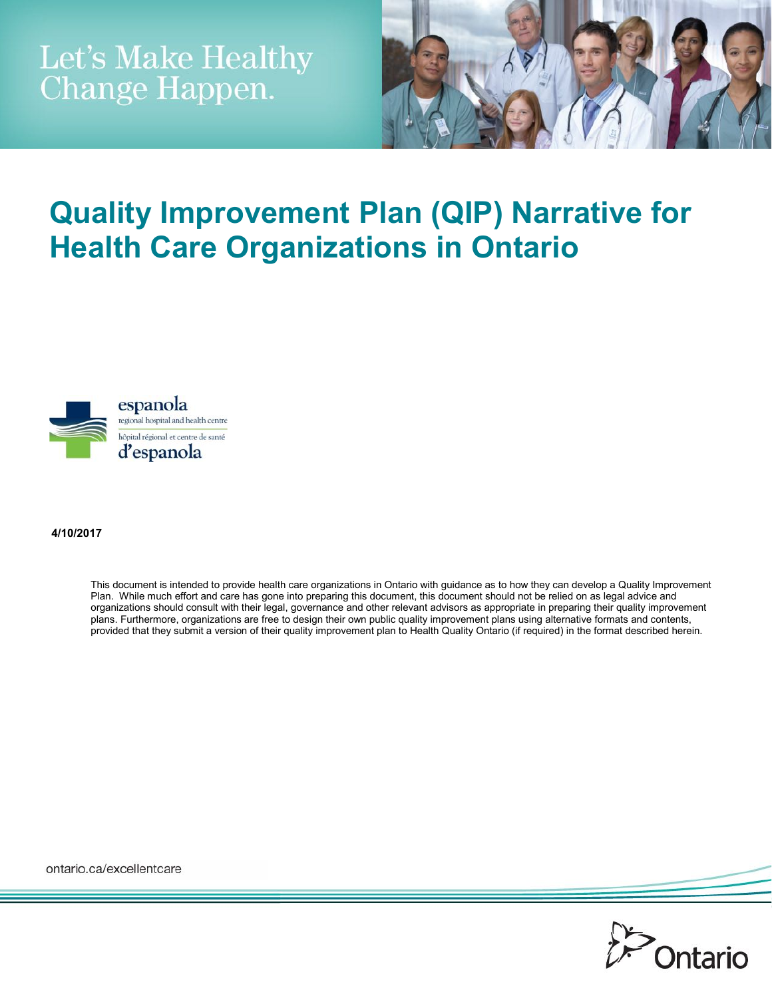

# **Quality Improvement Plan (QIP) Narrative for Health Care Organizations in Ontario**



#### **4/10/2017**

 This document is intended to provide health care organizations in Ontario with guidance as to how they can develop a Quality Improvement Plan. While much effort and care has gone into preparing this document, this document should not be relied on as legal advice and organizations should consult with their legal, governance and other relevant advisors as appropriate in preparing their quality improvement plans. Furthermore, organizations are free to design their own public quality improvement plans using alternative formats and contents, provided that they submit a version of their quality improvement plan to Health Quality Ontario (if required) in the format described herein.

ontario.ca/excellentcare

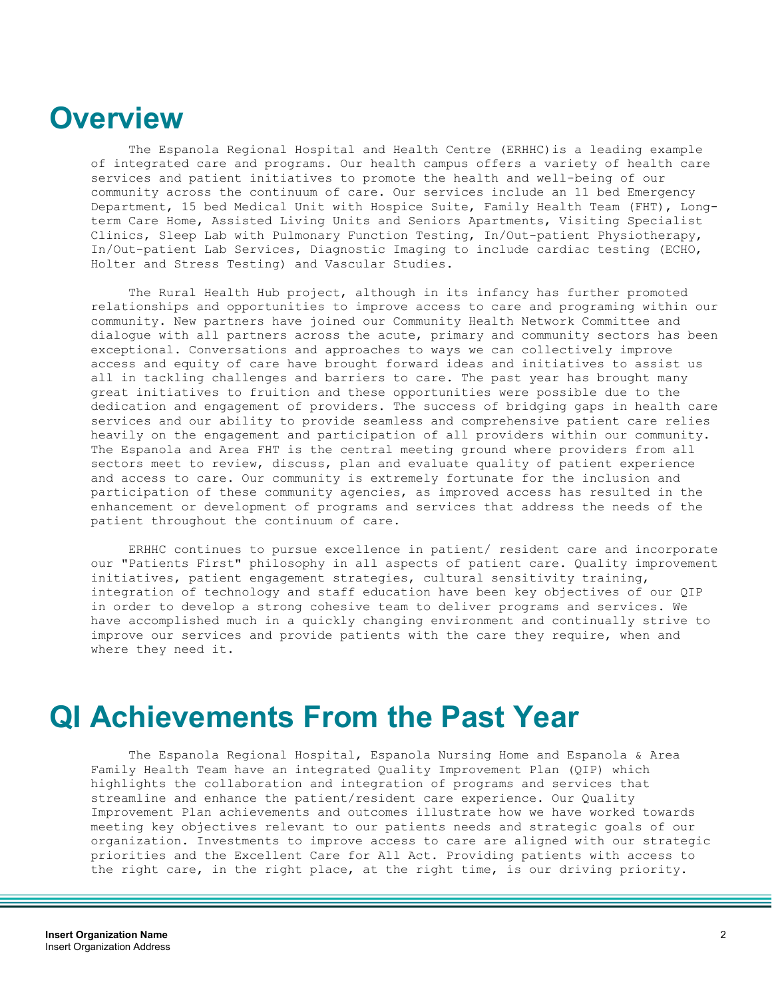#### **Overview**

The Espanola Regional Hospital and Health Centre (ERHHC)is a leading example of integrated care and programs. Our health campus offers a variety of health care services and patient initiatives to promote the health and well-being of our community across the continuum of care. Our services include an 11 bed Emergency Department, 15 bed Medical Unit with Hospice Suite, Family Health Team (FHT), Longterm Care Home, Assisted Living Units and Seniors Apartments, Visiting Specialist Clinics, Sleep Lab with Pulmonary Function Testing, In/Out-patient Physiotherapy, In/Out-patient Lab Services, Diagnostic Imaging to include cardiac testing (ECHO, Holter and Stress Testing) and Vascular Studies.

 The Rural Health Hub project, although in its infancy has further promoted relationships and opportunities to improve access to care and programing within our community. New partners have joined our Community Health Network Committee and dialogue with all partners across the acute, primary and community sectors has been exceptional. Conversations and approaches to ways we can collectively improve access and equity of care have brought forward ideas and initiatives to assist us all in tackling challenges and barriers to care. The past year has brought many great initiatives to fruition and these opportunities were possible due to the dedication and engagement of providers. The success of bridging gaps in health care services and our ability to provide seamless and comprehensive patient care relies heavily on the engagement and participation of all providers within our community. The Espanola and Area FHT is the central meeting ground where providers from all sectors meet to review, discuss, plan and evaluate quality of patient experience and access to care. Our community is extremely fortunate for the inclusion and participation of these community agencies, as improved access has resulted in the enhancement or development of programs and services that address the needs of the patient throughout the continuum of care.

 ERHHC continues to pursue excellence in patient/ resident care and incorporate our "Patients First" philosophy in all aspects of patient care. Quality improvement initiatives, patient engagement strategies, cultural sensitivity training, integration of technology and staff education have been key objectives of our QIP in order to develop a strong cohesive team to deliver programs and services. We have accomplished much in a quickly changing environment and continually strive to improve our services and provide patients with the care they require, when and where they need it.

### **QI Achievements From the Past Year**

 The Espanola Regional Hospital, Espanola Nursing Home and Espanola & Area Family Health Team have an integrated Quality Improvement Plan (QIP) which highlights the collaboration and integration of programs and services that streamline and enhance the patient/resident care experience. Our Quality Improvement Plan achievements and outcomes illustrate how we have worked towards meeting key objectives relevant to our patients needs and strategic goals of our organization. Investments to improve access to care are aligned with our strategic priorities and the Excellent Care for All Act. Providing patients with access to the right care, in the right place, at the right time, is our driving priority.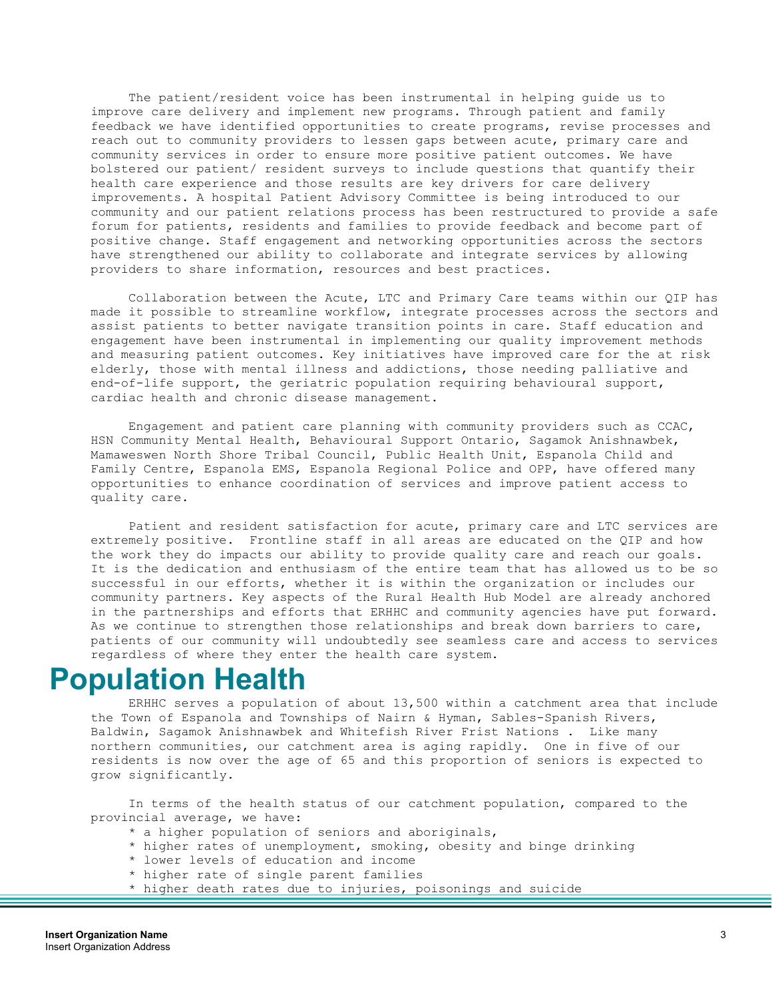The patient/resident voice has been instrumental in helping guide us to improve care delivery and implement new programs. Through patient and family feedback we have identified opportunities to create programs, revise processes and reach out to community providers to lessen gaps between acute, primary care and community services in order to ensure more positive patient outcomes. We have bolstered our patient/ resident surveys to include questions that quantify their health care experience and those results are key drivers for care delivery improvements. A hospital Patient Advisory Committee is being introduced to our community and our patient relations process has been restructured to provide a safe forum for patients, residents and families to provide feedback and become part of positive change. Staff engagement and networking opportunities across the sectors have strengthened our ability to collaborate and integrate services by allowing providers to share information, resources and best practices.

 Collaboration between the Acute, LTC and Primary Care teams within our QIP has made it possible to streamline workflow, integrate processes across the sectors and assist patients to better navigate transition points in care. Staff education and engagement have been instrumental in implementing our quality improvement methods and measuring patient outcomes. Key initiatives have improved care for the at risk elderly, those with mental illness and addictions, those needing palliative and end-of-life support, the geriatric population requiring behavioural support, cardiac health and chronic disease management.

 Engagement and patient care planning with community providers such as CCAC, HSN Community Mental Health, Behavioural Support Ontario, Sagamok Anishnawbek, Mamaweswen North Shore Tribal Council, Public Health Unit, Espanola Child and Family Centre, Espanola EMS, Espanola Regional Police and OPP, have offered many opportunities to enhance coordination of services and improve patient access to quality care.

 Patient and resident satisfaction for acute, primary care and LTC services are extremely positive. Frontline staff in all areas are educated on the QIP and how the work they do impacts our ability to provide quality care and reach our goals. It is the dedication and enthusiasm of the entire team that has allowed us to be so successful in our efforts, whether it is within the organization or includes our community partners. Key aspects of the Rural Health Hub Model are already anchored in the partnerships and efforts that ERHHC and community agencies have put forward. As we continue to strengthen those relationships and break down barriers to care, patients of our community will undoubtedly see seamless care and access to services regardless of where they enter the health care system.

#### **Population Health**

 ERHHC serves a population of about 13,500 within a catchment area that include the Town of Espanola and Townships of Nairn & Hyman, Sables-Spanish Rivers, Baldwin, Sagamok Anishnawbek and Whitefish River Frist Nations . Like many northern communities, our catchment area is aging rapidly. One in five of our residents is now over the age of 65 and this proportion of seniors is expected to grow significantly.

In terms of the health status of our catchment population, compared to the provincial average, we have:

- \* a higher population of seniors and aboriginals,
- \* higher rates of unemployment, smoking, obesity and binge drinking
- \* lower levels of education and income
- \* higher rate of single parent families
- \* higher death rates due to injuries, poisonings and suicide

L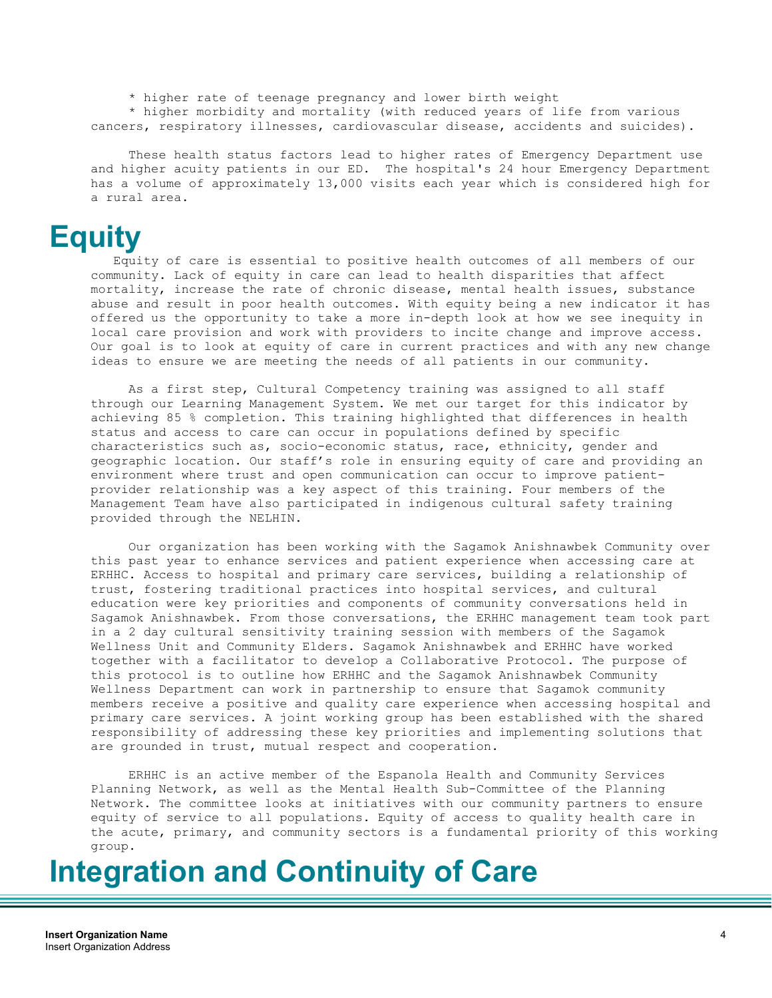\* higher rate of teenage pregnancy and lower birth weight

\* higher morbidity and mortality (with reduced years of life from various cancers, respiratory illnesses, cardiovascular disease, accidents and suicides).

 These health status factors lead to higher rates of Emergency Department use and higher acuity patients in our ED. The hospital's 24 hour Emergency Department has a volume of approximately 13,000 visits each year which is considered high for a rural area.

## **Equity**

 Equity of care is essential to positive health outcomes of all members of our community. Lack of equity in care can lead to health disparities that affect mortality, increase the rate of chronic disease, mental health issues, substance abuse and result in poor health outcomes. With equity being a new indicator it has offered us the opportunity to take a more in-depth look at how we see inequity in local care provision and work with providers to incite change and improve access. Our goal is to look at equity of care in current practices and with any new change ideas to ensure we are meeting the needs of all patients in our community.

 As a first step, Cultural Competency training was assigned to all staff through our Learning Management System. We met our target for this indicator by achieving 85 % completion. This training highlighted that differences in health status and access to care can occur in populations defined by specific characteristics such as, socio-economic status, race, ethnicity, gender and geographic location. Our staff's role in ensuring equity of care and providing an environment where trust and open communication can occur to improve patientprovider relationship was a key aspect of this training. Four members of the Management Team have also participated in indigenous cultural safety training provided through the NELHIN.

 Our organization has been working with the Sagamok Anishnawbek Community over this past year to enhance services and patient experience when accessing care at ERHHC. Access to hospital and primary care services, building a relationship of trust, fostering traditional practices into hospital services, and cultural education were key priorities and components of community conversations held in Sagamok Anishnawbek. From those conversations, the ERHHC management team took part in a 2 day cultural sensitivity training session with members of the Sagamok Wellness Unit and Community Elders. Sagamok Anishnawbek and ERHHC have worked together with a facilitator to develop a Collaborative Protocol. The purpose of this protocol is to outline how ERHHC and the Sagamok Anishnawbek Community Wellness Department can work in partnership to ensure that Sagamok community members receive a positive and quality care experience when accessing hospital and primary care services. A joint working group has been established with the shared responsibility of addressing these key priorities and implementing solutions that are grounded in trust, mutual respect and cooperation.

 ERHHC is an active member of the Espanola Health and Community Services Planning Network, as well as the Mental Health Sub-Committee of the Planning Network. The committee looks at initiatives with our community partners to ensure equity of service to all populations. Equity of access to quality health care in the acute, primary, and community sectors is a fundamental priority of this working group.

## **Integration and Continuity of Care**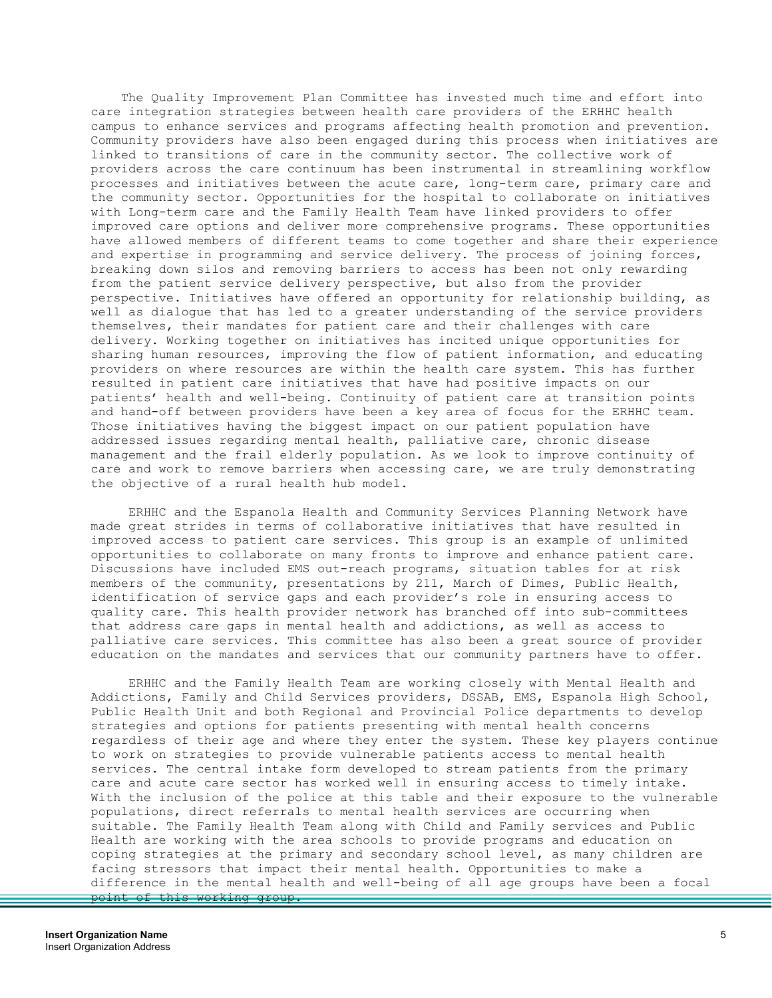The Quality Improvement Plan Committee has invested much time and effort into care integration strategies between health care providers of the ERHHC health campus to enhance services and programs affecting health promotion and prevention. Community providers have also been engaged during this process when initiatives are linked to transitions of care in the community sector. The collective work of providers across the care continuum has been instrumental in streamlining workflow processes and initiatives between the acute care, long-term care, primary care and the community sector. Opportunities for the hospital to collaborate on initiatives with Long-term care and the Family Health Team have linked providers to offer improved care options and deliver more comprehensive programs. These opportunities have allowed members of different teams to come together and share their experience and expertise in programming and service delivery. The process of joining forces, breaking down silos and removing barriers to access has been not only rewarding from the patient service delivery perspective, but also from the provider perspective. Initiatives have offered an opportunity for relationship building, as well as dialogue that has led to a greater understanding of the service providers themselves, their mandates for patient care and their challenges with care delivery. Working together on initiatives has incited unique opportunities for sharing human resources, improving the flow of patient information, and educating providers on where resources are within the health care system. This has further resulted in patient care initiatives that have had positive impacts on our patients' health and well-being. Continuity of patient care at transition points and hand-off between providers have been a key area of focus for the ERHHC team. Those initiatives having the biggest impact on our patient population have addressed issues regarding mental health, palliative care, chronic disease management and the frail elderly population. As we look to improve continuity of care and work to remove barriers when accessing care, we are truly demonstrating the objective of a rural health hub model.

ERHHC and the Espanola Health and Community Services Planning Network have made great strides in terms of collaborative initiatives that have resulted in improved access to patient care services. This group is an example of unlimited opportunities to collaborate on many fronts to improve and enhance patient care. Discussions have included EMS out-reach programs, situation tables for at risk members of the community, presentations by 211, March of Dimes, Public Health, identification of service gaps and each provider's role in ensuring access to quality care. This health provider network has branched off into sub-committees that address care gaps in mental health and addictions, as well as access to palliative care services. This committee has also been a great source of provider education on the mandates and services that our community partners have to offer.

ERHHC and the Family Health Team are working closely with Mental Health and Addictions, Family and Child Services providers, DSSAB, EMS, Espanola High School, Public Health Unit and both Regional and Provincial Police departments to develop strategies and options for patients presenting with mental health concerns regardless of their age and where they enter the system. These key players continue to work on strategies to provide vulnerable patients access to mental health services. The central intake form developed to stream patients from the primary care and acute care sector has worked well in ensuring access to timely intake. With the inclusion of the police at this table and their exposure to the vulnerable populations, direct referrals to mental health services are occurring when suitable. The Family Health Team along with Child and Family services and Public Health are working with the area schools to provide programs and education on coping strategies at the primary and secondary school level, as many children are facing stressors that impact their mental health. Opportunities to make a difference in the mental health and well-being of all age groups have been a focal point of this working group.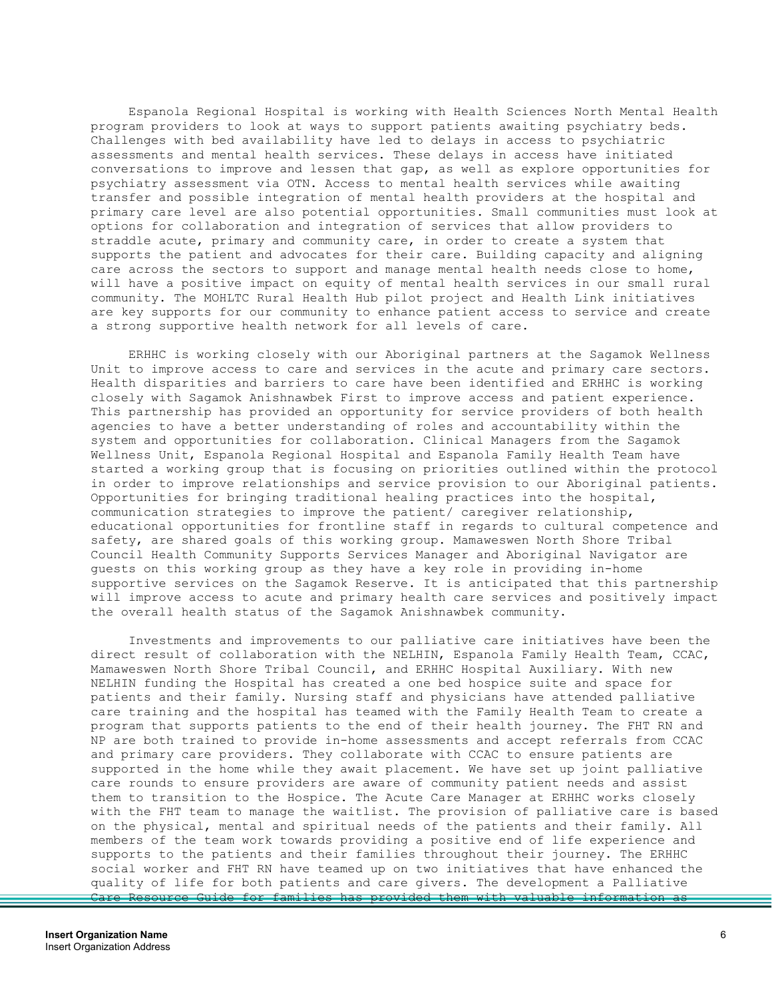Espanola Regional Hospital is working with Health Sciences North Mental Health program providers to look at ways to support patients awaiting psychiatry beds. Challenges with bed availability have led to delays in access to psychiatric assessments and mental health services. These delays in access have initiated conversations to improve and lessen that gap, as well as explore opportunities for psychiatry assessment via OTN. Access to mental health services while awaiting transfer and possible integration of mental health providers at the hospital and primary care level are also potential opportunities. Small communities must look at options for collaboration and integration of services that allow providers to straddle acute, primary and community care, in order to create a system that supports the patient and advocates for their care. Building capacity and aligning care across the sectors to support and manage mental health needs close to home, will have a positive impact on equity of mental health services in our small rural community. The MOHLTC Rural Health Hub pilot project and Health Link initiatives are key supports for our community to enhance patient access to service and create a strong supportive health network for all levels of care.

 ERHHC is working closely with our Aboriginal partners at the Sagamok Wellness Unit to improve access to care and services in the acute and primary care sectors. Health disparities and barriers to care have been identified and ERHHC is working closely with Sagamok Anishnawbek First to improve access and patient experience. This partnership has provided an opportunity for service providers of both health agencies to have a better understanding of roles and accountability within the system and opportunities for collaboration. Clinical Managers from the Sagamok Wellness Unit, Espanola Regional Hospital and Espanola Family Health Team have started a working group that is focusing on priorities outlined within the protocol in order to improve relationships and service provision to our Aboriginal patients. Opportunities for bringing traditional healing practices into the hospital, communication strategies to improve the patient/ caregiver relationship, educational opportunities for frontline staff in regards to cultural competence and safety, are shared goals of this working group. Mamaweswen North Shore Tribal Council Health Community Supports Services Manager and Aboriginal Navigator are guests on this working group as they have a key role in providing in-home supportive services on the Sagamok Reserve. It is anticipated that this partnership will improve access to acute and primary health care services and positively impact the overall health status of the Sagamok Anishnawbek community.

 Investments and improvements to our palliative care initiatives have been the direct result of collaboration with the NELHIN, Espanola Family Health Team, CCAC, Mamaweswen North Shore Tribal Council, and ERHHC Hospital Auxiliary. With new NELHIN funding the Hospital has created a one bed hospice suite and space for patients and their family. Nursing staff and physicians have attended palliative care training and the hospital has teamed with the Family Health Team to create a program that supports patients to the end of their health journey. The FHT RN and NP are both trained to provide in-home assessments and accept referrals from CCAC and primary care providers. They collaborate with CCAC to ensure patients are supported in the home while they await placement. We have set up joint palliative care rounds to ensure providers are aware of community patient needs and assist them to transition to the Hospice. The Acute Care Manager at ERHHC works closely with the FHT team to manage the waitlist. The provision of palliative care is based on the physical, mental and spiritual needs of the patients and their family. All members of the team work towards providing a positive end of life experience and supports to the patients and their families throughout their journey. The ERHHC social worker and FHT RN have teamed up on two initiatives that have enhanced the quality of life for both patients and care givers. The development a Palliative Care Resource Guide for families has provided them with valuable information as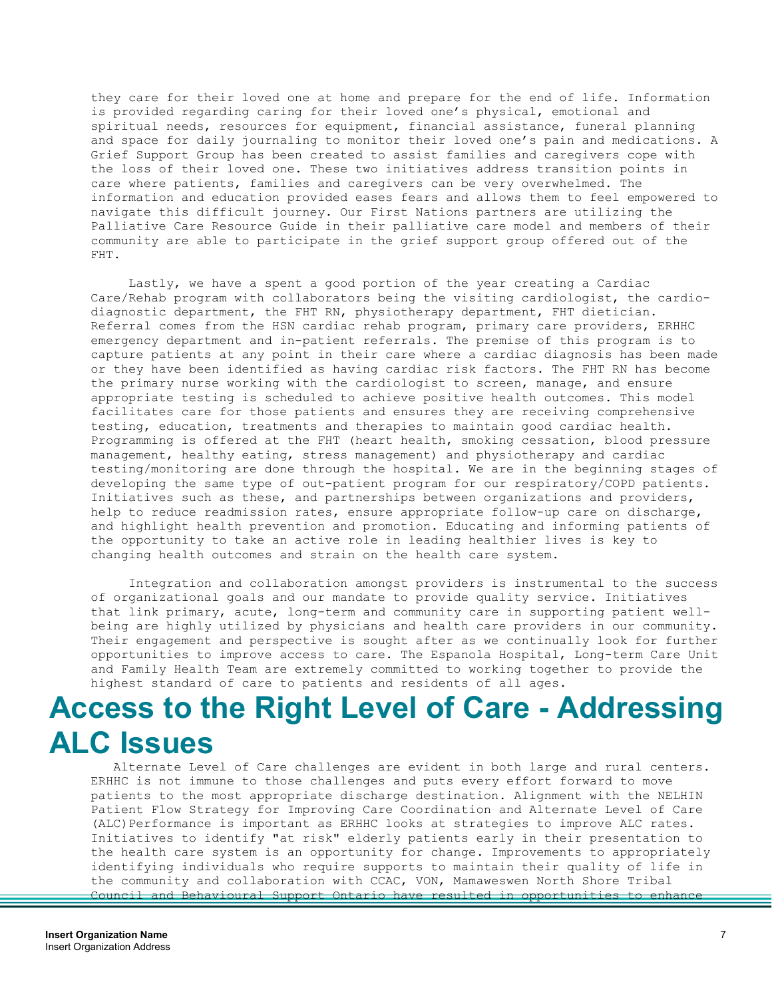they care for their loved one at home and prepare for the end of life. Information is provided regarding caring for their loved one's physical, emotional and spiritual needs, resources for equipment, financial assistance, funeral planning and space for daily journaling to monitor their loved one's pain and medications. A Grief Support Group has been created to assist families and caregivers cope with the loss of their loved one. These two initiatives address transition points in care where patients, families and caregivers can be very overwhelmed. The information and education provided eases fears and allows them to feel empowered to navigate this difficult journey. Our First Nations partners are utilizing the Palliative Care Resource Guide in their palliative care model and members of their community are able to participate in the grief support group offered out of the FHT.

 Lastly, we have a spent a good portion of the year creating a Cardiac Care/Rehab program with collaborators being the visiting cardiologist, the cardiodiagnostic department, the FHT RN, physiotherapy department, FHT dietician. Referral comes from the HSN cardiac rehab program, primary care providers, ERHHC emergency department and in-patient referrals. The premise of this program is to capture patients at any point in their care where a cardiac diagnosis has been made or they have been identified as having cardiac risk factors. The FHT RN has become the primary nurse working with the cardiologist to screen, manage, and ensure appropriate testing is scheduled to achieve positive health outcomes. This model facilitates care for those patients and ensures they are receiving comprehensive testing, education, treatments and therapies to maintain good cardiac health. Programming is offered at the FHT (heart health, smoking cessation, blood pressure management, healthy eating, stress management) and physiotherapy and cardiac testing/monitoring are done through the hospital. We are in the beginning stages of developing the same type of out-patient program for our respiratory/COPD patients. Initiatives such as these, and partnerships between organizations and providers, help to reduce readmission rates, ensure appropriate follow-up care on discharge, and highlight health prevention and promotion. Educating and informing patients of the opportunity to take an active role in leading healthier lives is key to changing health outcomes and strain on the health care system.

 Integration and collaboration amongst providers is instrumental to the success of organizational goals and our mandate to provide quality service. Initiatives that link primary, acute, long-term and community care in supporting patient wellbeing are highly utilized by physicians and health care providers in our community. Their engagement and perspective is sought after as we continually look for further opportunities to improve access to care. The Espanola Hospital, Long-term Care Unit and Family Health Team are extremely committed to working together to provide the highest standard of care to patients and residents of all ages.

## **Access to the Right Level of Care - Addressing ALC Issues**

Alternate Level of Care challenges are evident in both large and rural centers. ERHHC is not immune to those challenges and puts every effort forward to move patients to the most appropriate discharge destination. Alignment with the NELHIN Patient Flow Strategy for Improving Care Coordination and Alternate Level of Care (ALC) Performance is important as ERHHC looks at strategies to improve ALC rates. Initiatives to identify "at risk" elderly patients early in their presentation to the health care system is an opportunity for change. Improvements to appropriately identifying individuals who require supports to maintain their quality of life in the community and collaboration with CCAC, VON, Mamaweswen North Shore Tribal Council and Behavioural Support Ontario have resulted in opportunities to enhance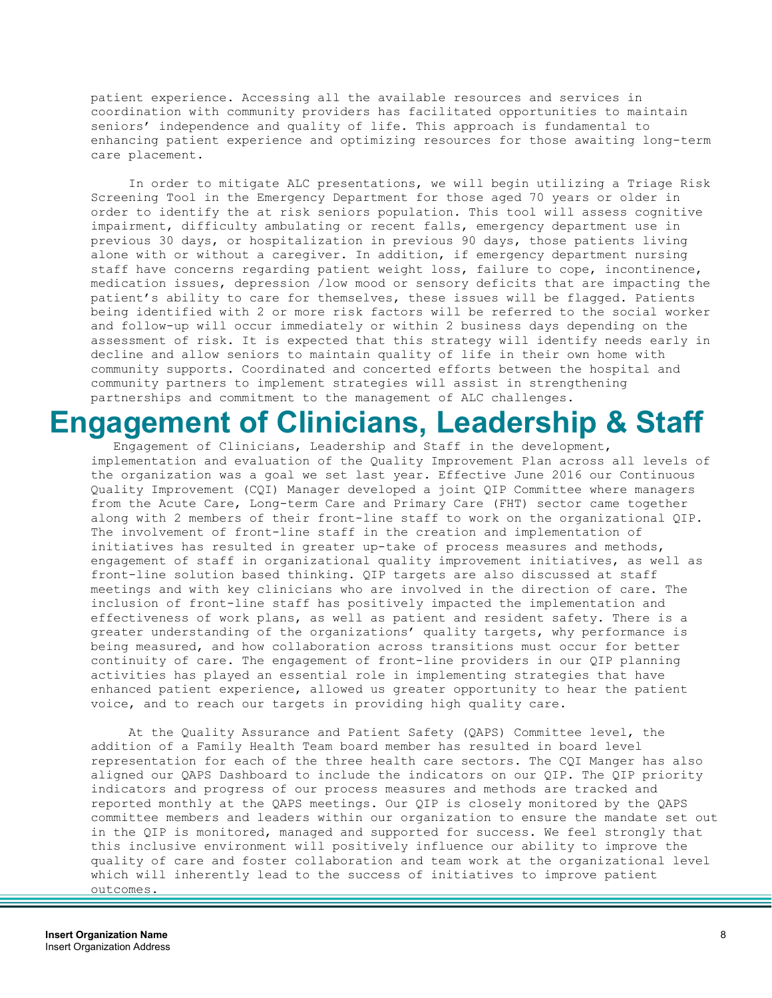patient experience. Accessing all the available resources and services in coordination with community providers has facilitated opportunities to maintain seniors' independence and quality of life. This approach is fundamental to enhancing patient experience and optimizing resources for those awaiting long-term care placement.

 In order to mitigate ALC presentations, we will begin utilizing a Triage Risk Screening Tool in the Emergency Department for those aged 70 years or older in order to identify the at risk seniors population. This tool will assess cognitive impairment, difficulty ambulating or recent falls, emergency department use in previous 30 days, or hospitalization in previous 90 days, those patients living alone with or without a caregiver. In addition, if emergency department nursing staff have concerns regarding patient weight loss, failure to cope, incontinence, medication issues, depression /low mood or sensory deficits that are impacting the patient's ability to care for themselves, these issues will be flagged. Patients being identified with 2 or more risk factors will be referred to the social worker and follow-up will occur immediately or within 2 business days depending on the assessment of risk. It is expected that this strategy will identify needs early in decline and allow seniors to maintain quality of life in their own home with community supports. Coordinated and concerted efforts between the hospital and community partners to implement strategies will assist in strengthening partnerships and commitment to the management of ALC challenges.

## **Engagement of Clinicians, Leadership & Staff**

 Engagement of Clinicians, Leadership and Staff in the development, implementation and evaluation of the Quality Improvement Plan across all levels of the organization was a goal we set last year. Effective June 2016 our Continuous Quality Improvement (CQI) Manager developed a joint QIP Committee where managers from the Acute Care, Long-term Care and Primary Care (FHT) sector came together along with 2 members of their front-line staff to work on the organizational QIP. The involvement of front-line staff in the creation and implementation of initiatives has resulted in greater up-take of process measures and methods, engagement of staff in organizational quality improvement initiatives, as well as front-line solution based thinking. QIP targets are also discussed at staff meetings and with key clinicians who are involved in the direction of care. The inclusion of front-line staff has positively impacted the implementation and effectiveness of work plans, as well as patient and resident safety. There is a greater understanding of the organizations' quality targets, why performance is being measured, and how collaboration across transitions must occur for better continuity of care. The engagement of front-line providers in our QIP planning activities has played an essential role in implementing strategies that have enhanced patient experience, allowed us greater opportunity to hear the patient voice, and to reach our targets in providing high quality care.

 At the Quality Assurance and Patient Safety (QAPS) Committee level, the addition of a Family Health Team board member has resulted in board level representation for each of the three health care sectors. The CQI Manger has also aligned our QAPS Dashboard to include the indicators on our QIP. The QIP priority indicators and progress of our process measures and methods are tracked and reported monthly at the QAPS meetings. Our QIP is closely monitored by the QAPS committee members and leaders within our organization to ensure the mandate set out in the QIP is monitored, managed and supported for success. We feel strongly that this inclusive environment will positively influence our ability to improve the quality of care and foster collaboration and team work at the organizational level which will inherently lead to the success of initiatives to improve patient outcomes.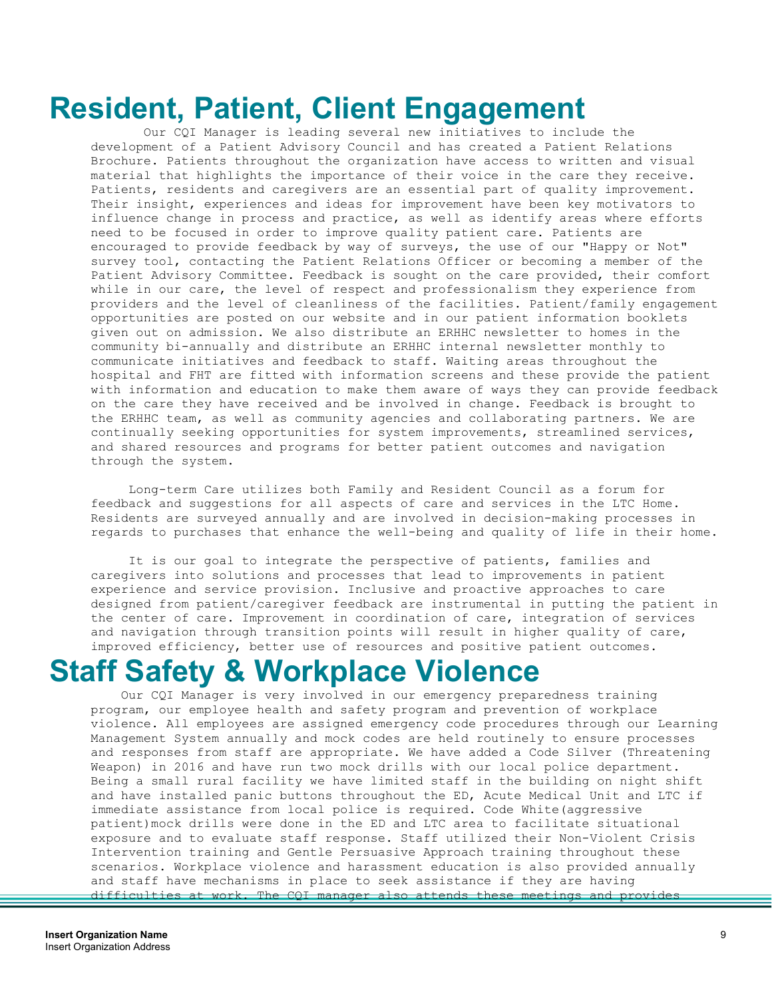#### **Resident, Patient, Client Engagement**

 Our CQI Manager is leading several new initiatives to include the development of a Patient Advisory Council and has created a Patient Relations Brochure. Patients throughout the organization have access to written and visual material that highlights the importance of their voice in the care they receive. Patients, residents and caregivers are an essential part of quality improvement. Their insight, experiences and ideas for improvement have been key motivators to influence change in process and practice, as well as identify areas where efforts need to be focused in order to improve quality patient care. Patients are encouraged to provide feedback by way of surveys, the use of our "Happy or Not" survey tool, contacting the Patient Relations Officer or becoming a member of the Patient Advisory Committee. Feedback is sought on the care provided, their comfort while in our care, the level of respect and professionalism they experience from providers and the level of cleanliness of the facilities. Patient/family engagement opportunities are posted on our website and in our patient information booklets given out on admission. We also distribute an ERHHC newsletter to homes in the community bi-annually and distribute an ERHHC internal newsletter monthly to communicate initiatives and feedback to staff. Waiting areas throughout the hospital and FHT are fitted with information screens and these provide the patient with information and education to make them aware of ways they can provide feedback on the care they have received and be involved in change. Feedback is brought to the ERHHC team, as well as community agencies and collaborating partners. We are continually seeking opportunities for system improvements, streamlined services, and shared resources and programs for better patient outcomes and navigation through the system.

 Long-term Care utilizes both Family and Resident Council as a forum for feedback and suggestions for all aspects of care and services in the LTC Home. Residents are surveyed annually and are involved in decision-making processes in regards to purchases that enhance the well-being and quality of life in their home.

 It is our goal to integrate the perspective of patients, families and caregivers into solutions and processes that lead to improvements in patient experience and service provision. Inclusive and proactive approaches to care designed from patient/caregiver feedback are instrumental in putting the patient in the center of care. Improvement in coordination of care, integration of services and navigation through transition points will result in higher quality of care, improved efficiency, better use of resources and positive patient outcomes.

### **Staff Safety & Workplace Violence**

 Our CQI Manager is very involved in our emergency preparedness training program, our employee health and safety program and prevention of workplace violence. All employees are assigned emergency code procedures through our Learning Management System annually and mock codes are held routinely to ensure processes and responses from staff are appropriate. We have added a Code Silver (Threatening Weapon) in 2016 and have run two mock drills with our local police department. Being a small rural facility we have limited staff in the building on night shift and have installed panic buttons throughout the ED, Acute Medical Unit and LTC if immediate assistance from local police is required. Code White(aggressive patient)mock drills were done in the ED and LTC area to facilitate situational exposure and to evaluate staff response. Staff utilized their Non-Violent Crisis Intervention training and Gentle Persuasive Approach training throughout these scenarios. Workplace violence and harassment education is also provided annually and staff have mechanisms in place to seek assistance if they are having difficulties at work. The CQI manager also attends these meetings and provides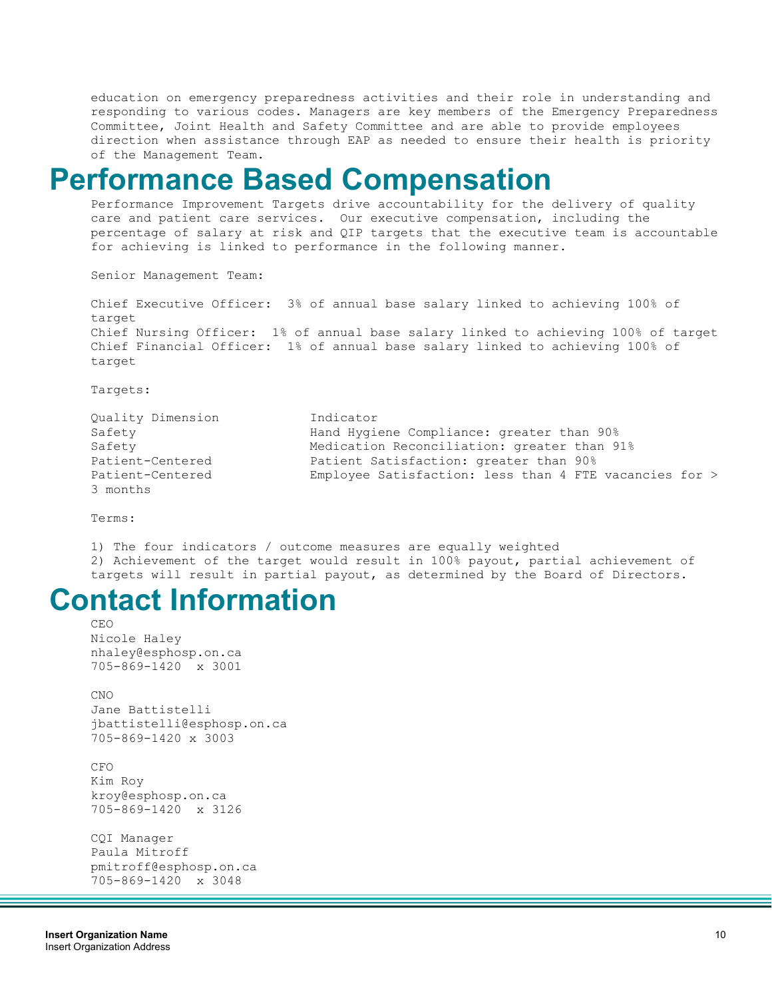education on emergency preparedness activities and their role in understanding and responding to various codes. Managers are key members of the Emergency Preparedness Committee, Joint Health and Safety Committee and are able to provide employees direction when assistance through EAP as needed to ensure their health is priority of the Management Team.

#### **Performance Based Compensation**

Performance Improvement Targets drive accountability for the delivery of quality care and patient care services. Our executive compensation, including the percentage of salary at risk and QIP targets that the executive team is accountable for achieving is linked to performance in the following manner.

Senior Management Team:

```
Chief Executive Officer: 3% of annual base salary linked to achieving 100% of
target
Chief Nursing Officer: 1% of annual base salary linked to achieving 100% of target
Chief Financial Officer: 1% of annual base salary linked to achieving 100% of 
target
```
Targets:

```
Quality Dimension Indicator
Patient-Centered Patient Satisfaction: greater than 90%
3 months
```
Safety **Hand Hygiene Compliance: greater than 90%** Safety Medication Reconciliation: greater than 91% Patient-Centered Employee Satisfaction: less than 4 FTE vacancies for >

Terms:

 $CDO$ 

1) The four indicators / outcome measures are equally weighted 2) Achievement of the target would result in 100% payout, partial achievement of targets will result in partial payout, as determined by the Board of Directors.

#### **Contact Information**

```
Nicole Haley
nhaley@esphosp.on.ca
705-869-1420 x 3001
```

```
CNO
Jane Battistelli
jbattistelli@esphosp.on.ca
705-869-1420 x 3003
```
CFO Kim Roy kroy@esphosp.on.ca 705-869-1420 x 3126

```
CQI Manager
Paula Mitroff
pmitroff@esphosp.on.ca
705-869-1420 x 3048
```